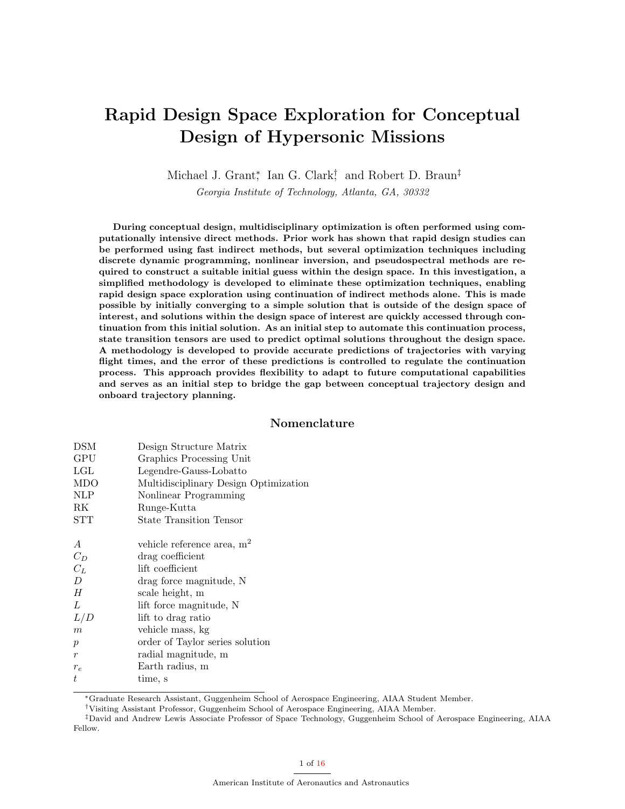# Rapid Design Space Exploration for Conceptual Design of Hypersonic Missions

Michael J. Grant<sup>\*</sup>, Ian G. Clark<sup>†</sup> and Robert D. Braun<sup>‡</sup>

Georgia Institute of Technology, Atlanta, GA, 30332

During conceptual design, multidisciplinary optimization is often performed using computationally intensive direct methods. Prior work has shown that rapid design studies can be performed using fast indirect methods, but several optimization techniques including discrete dynamic programming, nonlinear inversion, and pseudospectral methods are required to construct a suitable initial guess within the design space. In this investigation, a simplified methodology is developed to eliminate these optimization techniques, enabling rapid design space exploration using continuation of indirect methods alone. This is made possible by initially converging to a simple solution that is outside of the design space of interest, and solutions within the design space of interest are quickly accessed through continuation from this initial solution. As an initial step to automate this continuation process, state transition tensors are used to predict optimal solutions throughout the design space. A methodology is developed to provide accurate predictions of trajectories with varying flight times, and the error of these predictions is controlled to regulate the continuation process. This approach provides flexibility to adapt to future computational capabilities and serves as an initial step to bridge the gap between conceptual trajectory design and onboard trajectory planning.

# Nomenclature

| DSM              | Design Structure Matrix                |
|------------------|----------------------------------------|
| GPU              | Graphics Processing Unit               |
| LGL              | Legendre-Gauss-Lobatto                 |
| MDO              | Multidisciplinary Design Optimization  |
| NLP              | Nonlinear Programming                  |
| RK               | Runge-Kutta                            |
| STT              | <b>State Transition Tensor</b>         |
|                  |                                        |
| A                | vehicle reference area, m <sup>2</sup> |
| $C_D$            | drag coefficient                       |
| $C_L$            | lift coefficient                       |
| D                | drag force magnitude, N                |
| Н                | scale height, m                        |
| L                | lift force magnitude, N                |
| L/D              | lift to drag ratio                     |
| $\boldsymbol{m}$ | vehicle mass, kg                       |
| $\boldsymbol{p}$ | order of Taylor series solution        |
| $\boldsymbol{r}$ | radial magnitude, m                    |
| $r_e$            | Earth radius, m                        |
| t                | time, s                                |
|                  |                                        |

<sup>∗</sup>Graduate Research Assistant, Guggenheim School of Aerospace Engineering, AIAA Student Member.

†Visiting Assistant Professor, Guggenheim School of Aerospace Engineering, AIAA Member.

<sup>‡</sup>David and Andrew Lewis Associate Professor of Space Technology, Guggenheim School of Aerospace Engineering, AIAA Fellow.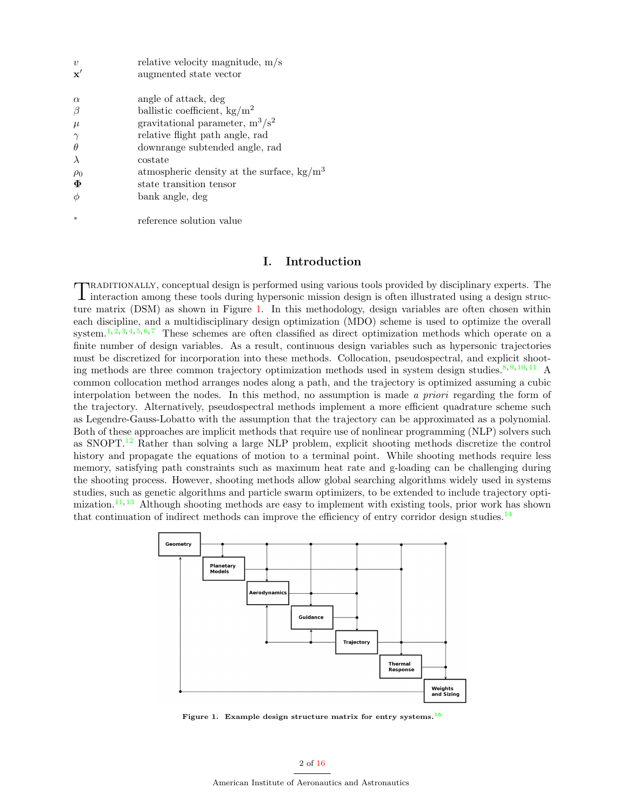| $\boldsymbol{v}$ | relative velocity magnitude, $m/s$                  |
|------------------|-----------------------------------------------------|
| $\mathbf{x}'$    | augmented state vector                              |
|                  |                                                     |
| $\alpha$         | angle of attack, deg                                |
| $\beta$          | ballistic coefficient, $\text{kg/m}^2$              |
| $\mu$            | gravitational parameter, $m^3/s^2$                  |
| $\gamma$         | relative flight path angle, rad                     |
| $\theta$         | downrange subtended angle, rad                      |
| $\lambda$        | costate                                             |
| $\rho_0$         | atmospheric density at the surface, $\text{kg/m}^3$ |
| $\Phi$           | state transition tensor                             |
| $\phi$           | bank angle, deg                                     |
| $\ast$           | reference solution value                            |

## I. Introduction

T raditionally, conceptual design is performed using various tools provided by disciplinary experts. The interaction among these tools during hypersonic mission design is often illustrated using a design structure matrix (DSM) as shown in Figure [1.](#page-1-0) In this methodology, design variables are often chosen within each discipline, and a multidisciplinary design optimization (MDO) scheme is used to optimize the overall system.<sup>[1,](#page-14-0) [2,](#page-14-1) [3,](#page-14-2) [4,](#page-14-3) [5,](#page-14-4) [6,](#page-14-5) [7](#page-14-6)</sup> These schemes are often classified as direct optimization methods which operate on a finite number of design variables. As a result, continuous design variables such as hypersonic trajectories must be discretized for incorporation into these methods. Collocation, pseudospectral, and explicit shooting methods are three common trajectory optimization methods used in system design studies. $8,9,10,11$  $8,9,10,11$  $8,9,10,11$  $8,9,10,11$  A common collocation method arranges nodes along a path, and the trajectory is optimized assuming a cubic interpolation between the nodes. In this method, no assumption is made a priori regarding the form of the trajectory. Alternatively, pseudospectral methods implement a more efficient quadrature scheme such as Legendre-Gauss-Lobatto with the assumption that the trajectory can be approximated as a polynomial. Both of these approaches are implicit methods that require use of nonlinear programming (NLP) solvers such as SNOPT.[12](#page-14-11) Rather than solving a large NLP problem, explicit shooting methods discretize the control history and propagate the equations of motion to a terminal point. While shooting methods require less memory, satisfying path constraints such as maximum heat rate and g-loading can be challenging during the shooting process. However, shooting methods allow global searching algorithms widely used in systems studies, such as genetic algorithms and particle swarm optimizers, to be extended to include trajectory opti-mization.<sup>[11,](#page-14-10) [13](#page-14-12)</sup> Although shooting methods are easy to implement with existing tools, prior work has shown that continuation of indirect methods can improve the efficiency of entry corridor design studies.<sup>[14](#page-14-13)</sup>



<span id="page-1-0"></span>Figure 1. Example design structure matrix for entry systems.<sup>[15](#page-14-14)</sup>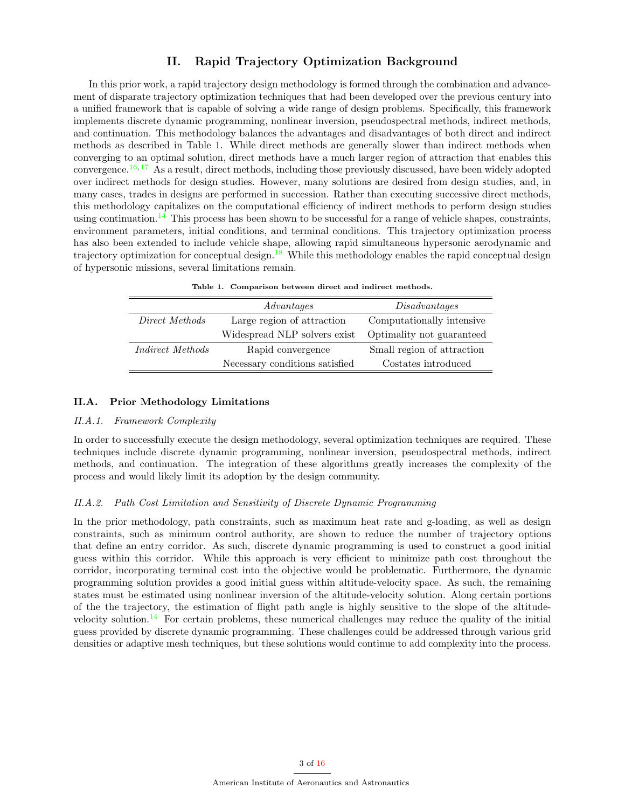# II. Rapid Trajectory Optimization Background

In this prior work, a rapid trajectory design methodology is formed through the combination and advancement of disparate trajectory optimization techniques that had been developed over the previous century into a unified framework that is capable of solving a wide range of design problems. Specifically, this framework implements discrete dynamic programming, nonlinear inversion, pseudospectral methods, indirect methods, and continuation. This methodology balances the advantages and disadvantages of both direct and indirect methods as described in Table [1.](#page-2-0) While direct methods are generally slower than indirect methods when converging to an optimal solution, direct methods have a much larger region of attraction that enables this convergence.<sup>[16,](#page-14-15) [17](#page-14-16)</sup> As a result, direct methods, including those previously discussed, have been widely adopted over indirect methods for design studies. However, many solutions are desired from design studies, and, in many cases, trades in designs are performed in succession. Rather than executing successive direct methods, this methodology capitalizes on the computational efficiency of indirect methods to perform design studies using continuation.<sup>[14](#page-14-13)</sup> This process has been shown to be successful for a range of vehicle shapes, constraints, environment parameters, initial conditions, and terminal conditions. This trajectory optimization process has also been extended to include vehicle shape, allowing rapid simultaneous hypersonic aerodynamic and trajectory optimization for conceptual design.<sup>[18](#page-14-17)</sup> While this methodology enables the rapid conceptual design of hypersonic missions, several limitations remain.

<span id="page-2-0"></span>

|  | Table 1. Comparison between direct and indirect methods. |  |  |  |  |  |
|--|----------------------------------------------------------|--|--|--|--|--|
|--|----------------------------------------------------------|--|--|--|--|--|

|                         | Advantages                     | Disadvantage               |
|-------------------------|--------------------------------|----------------------------|
| Direct Methods          | Large region of attraction     | Computationally intensive  |
|                         | Widespread NLP solvers exist   | Optimality not guaranteed  |
| <i>Indirect Methods</i> | Rapid convergence              | Small region of attraction |
|                         | Necessary conditions satisfied | Costates introduced        |

## II.A. Prior Methodology Limitations

# II.A.1. Framework Complexity

In order to successfully execute the design methodology, several optimization techniques are required. These techniques include discrete dynamic programming, nonlinear inversion, pseudospectral methods, indirect methods, and continuation. The integration of these algorithms greatly increases the complexity of the process and would likely limit its adoption by the design community.

#### II.A.2. Path Cost Limitation and Sensitivity of Discrete Dynamic Programming

In the prior methodology, path constraints, such as maximum heat rate and g-loading, as well as design constraints, such as minimum control authority, are shown to reduce the number of trajectory options that define an entry corridor. As such, discrete dynamic programming is used to construct a good initial guess within this corridor. While this approach is very efficient to minimize path cost throughout the corridor, incorporating terminal cost into the objective would be problematic. Furthermore, the dynamic programming solution provides a good initial guess within altitude-velocity space. As such, the remaining states must be estimated using nonlinear inversion of the altitude-velocity solution. Along certain portions of the the trajectory, the estimation of flight path angle is highly sensitive to the slope of the altitude-velocity solution.<sup>[14](#page-14-13)</sup> For certain problems, these numerical challenges may reduce the quality of the initial guess provided by discrete dynamic programming. These challenges could be addressed through various grid densities or adaptive mesh techniques, but these solutions would continue to add complexity into the process.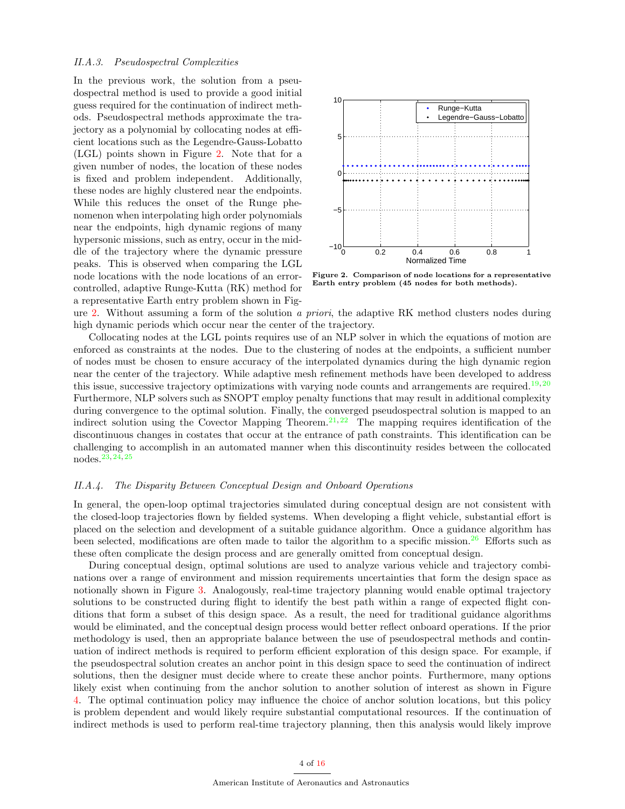#### II.A.3. Pseudospectral Complexities

In the previous work, the solution from a pseudospectral method is used to provide a good initial guess required for the continuation of indirect methods. Pseudospectral methods approximate the trajectory as a polynomial by collocating nodes at efficient locations such as the Legendre-Gauss-Lobatto (LGL) points shown in Figure [2.](#page-3-0) Note that for a given number of nodes, the location of these nodes is fixed and problem independent. Additionally, these nodes are highly clustered near the endpoints. While this reduces the onset of the Runge phenomenon when interpolating high order polynomials near the endpoints, high dynamic regions of many hypersonic missions, such as entry, occur in the middle of the trajectory where the dynamic pressure peaks. This is observed when comparing the LGL node locations with the node locations of an errorcontrolled, adaptive Runge-Kutta (RK) method for a representative Earth entry problem shown in Fig-



<span id="page-3-0"></span>Figure 2. Comparison of node locations for a representative Earth entry problem (45 nodes for both methods).

ure [2.](#page-3-0) Without assuming a form of the solution a priori, the adaptive RK method clusters nodes during high dynamic periods which occur near the center of the trajectory.

Collocating nodes at the LGL points requires use of an NLP solver in which the equations of motion are enforced as constraints at the nodes. Due to the clustering of nodes at the endpoints, a sufficient number of nodes must be chosen to ensure accuracy of the interpolated dynamics during the high dynamic region near the center of the trajectory. While adaptive mesh refinement methods have been developed to address this issue, successive trajectory optimizations with varying node counts and arrangements are required.<sup>[19,](#page-14-18) [20](#page-14-19)</sup> Furthermore, NLP solvers such as SNOPT employ penalty functions that may result in additional complexity during convergence to the optimal solution. Finally, the converged pseudospectral solution is mapped to an indirect solution using the Covector Mapping Theorem.<sup>[21,](#page-14-20) [22](#page-15-1)</sup> The mapping requires identification of the discontinuous changes in costates that occur at the entrance of path constraints. This identification can be challenging to accomplish in an automated manner when this discontinuity resides between the collocated nodes.[23,](#page-15-2) [24,](#page-15-3) [25](#page-15-4)

#### II.A.4. The Disparity Between Conceptual Design and Onboard Operations

In general, the open-loop optimal trajectories simulated during conceptual design are not consistent with the closed-loop trajectories flown by fielded systems. When developing a flight vehicle, substantial effort is placed on the selection and development of a suitable guidance algorithm. Once a guidance algorithm has been selected, modifications are often made to tailor the algorithm to a specific mission.<sup>[26](#page-15-5)</sup> Efforts such as these often complicate the design process and are generally omitted from conceptual design.

During conceptual design, optimal solutions are used to analyze various vehicle and trajectory combinations over a range of environment and mission requirements uncertainties that form the design space as notionally shown in Figure [3.](#page-4-0) Analogously, real-time trajectory planning would enable optimal trajectory solutions to be constructed during flight to identify the best path within a range of expected flight conditions that form a subset of this design space. As a result, the need for traditional guidance algorithms would be eliminated, and the conceptual design process would better reflect onboard operations. If the prior methodology is used, then an appropriate balance between the use of pseudospectral methods and continuation of indirect methods is required to perform efficient exploration of this design space. For example, if the pseudospectral solution creates an anchor point in this design space to seed the continuation of indirect solutions, then the designer must decide where to create these anchor points. Furthermore, many options likely exist when continuing from the anchor solution to another solution of interest as shown in Figure [4.](#page-4-1) The optimal continuation policy may influence the choice of anchor solution locations, but this policy is problem dependent and would likely require substantial computational resources. If the continuation of indirect methods is used to perform real-time trajectory planning, then this analysis would likely improve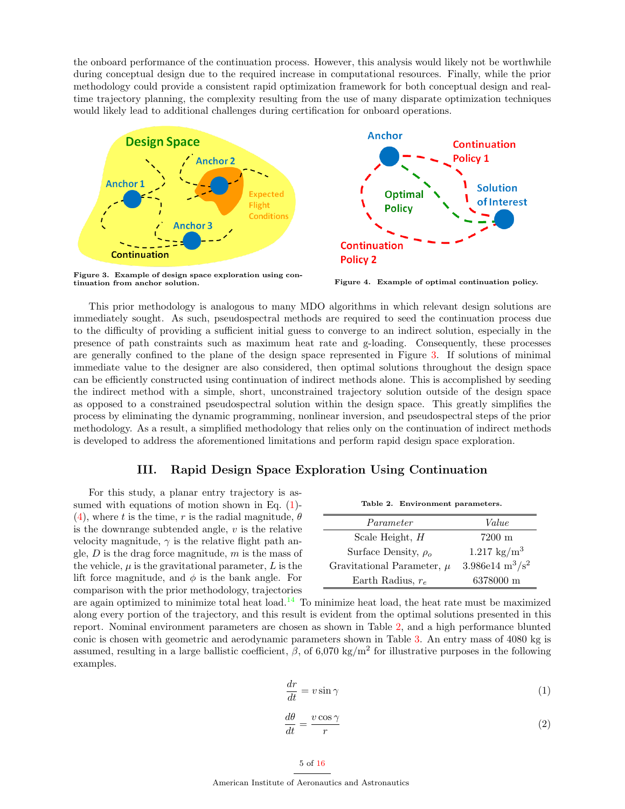the onboard performance of the continuation process. However, this analysis would likely not be worthwhile during conceptual design due to the required increase in computational resources. Finally, while the prior methodology could provide a consistent rapid optimization framework for both conceptual design and realtime trajectory planning, the complexity resulting from the use of many disparate optimization techniques would likely lead to additional challenges during certification for onboard operations.



<span id="page-4-0"></span>Figure 3. Example of design space exploration using continuation from anchor solution.

<span id="page-4-1"></span>

This prior methodology is analogous to many MDO algorithms in which relevant design solutions are immediately sought. As such, pseudospectral methods are required to seed the continuation process due to the difficulty of providing a sufficient initial guess to converge to an indirect solution, especially in the presence of path constraints such as maximum heat rate and g-loading. Consequently, these processes are generally confined to the plane of the design space represented in Figure [3.](#page-4-0) If solutions of minimal immediate value to the designer are also considered, then optimal solutions throughout the design space can be efficiently constructed using continuation of indirect methods alone. This is accomplished by seeding the indirect method with a simple, short, unconstrained trajectory solution outside of the design space as opposed to a constrained pseudospectral solution within the design space. This greatly simplifies the process by eliminating the dynamic programming, nonlinear inversion, and pseudospectral steps of the prior methodology. As a result, a simplified methodology that relies only on the continuation of indirect methods is developed to address the aforementioned limitations and perform rapid design space exploration.

# III. Rapid Design Space Exploration Using Continuation

For this study, a planar entry trajectory is assumed with equations of motion shown in Eq.  $(1)$ -[\(4\)](#page-5-0), where t is the time, r is the radial magnitude,  $\theta$ is the downrange subtended angle,  $v$  is the relative velocity magnitude,  $\gamma$  is the relative flight path angle,  $D$  is the drag force magnitude,  $m$  is the mass of the vehicle,  $\mu$  is the gravitational parameter,  $L$  is the lift force magnitude, and  $\phi$  is the bank angle. For comparison with the prior methodology, trajectories

<span id="page-4-3"></span>

| Table 2. Environment parameters. |  |  |  |
|----------------------------------|--|--|--|
|----------------------------------|--|--|--|

| Parameter                      | Value                                   |
|--------------------------------|-----------------------------------------|
| Scale Height, $H$              | $7200 \text{ m}$                        |
| Surface Density, $\rho_o$      | $1.217 \text{ kg/m}^3$                  |
| Gravitational Parameter, $\mu$ | 3.986e14 m <sup>3</sup> /s <sup>2</sup> |
| Earth Radius, $r_e$            | 6378000 m                               |

<span id="page-4-2"></span>are again optimized to minimize total heat load.<sup>[14](#page-14-13)</sup> To minimize heat load, the heat rate must be maximized along every portion of the trajectory, and this result is evident from the optimal solutions presented in this report. Nominal environment parameters are chosen as shown in Table [2,](#page-4-3) and a high performance blunted conic is chosen with geometric and aerodynamic parameters shown in Table [3.](#page-5-1) An entry mass of 4080 kg is assumed, resulting in a large ballistic coefficient,  $\beta$ , of 6,070 kg/m<sup>2</sup> for illustrative purposes in the following examples.

$$
\frac{dr}{dt} = v \sin \gamma \tag{1}
$$

$$
\frac{d\theta}{dt} = \frac{v\cos\gamma}{r} \tag{2}
$$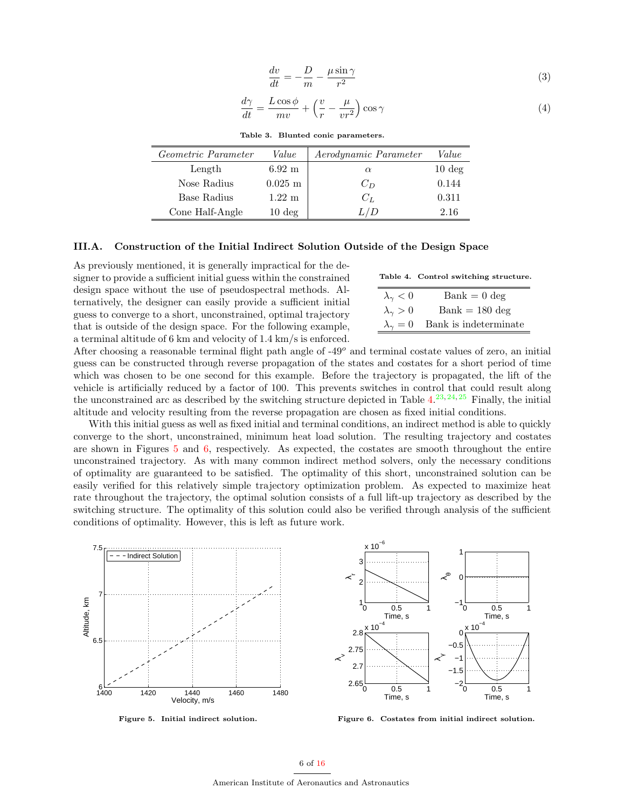$$
\frac{dv}{dt} = -\frac{D}{m} - \frac{\mu \sin \gamma}{r^2} \tag{3}
$$

$$
\frac{d\gamma}{dt} = \frac{L\cos\phi}{mv} + \left(\frac{v}{r} - \frac{\mu}{vr^2}\right)\cos\gamma\tag{4}
$$

<span id="page-5-0"></span>

| <i>Geometric Parameter</i> | Value            | Aerodynamic Parameter | Value            |
|----------------------------|------------------|-----------------------|------------------|
| Length                     | $6.92 \text{ m}$ | $\alpha$              | $10 \text{ deg}$ |
| Nose Radius                | $0.025$ m        | $C_D$                 | 0.144            |
| Base Radius                | $1.22 \text{ m}$ | $C_L$                 | 0.311            |
| Cone Half-Angle            | $10 \text{ deg}$ | $\cdot$ / D           | 2.16             |

<span id="page-5-1"></span>Table 3. Blunted conic parameters.

## III.A. Construction of the Initial Indirect Solution Outside of the Design Space

As previously mentioned, it is generally impractical for the designer to provide a sufficient initial guess within the constrained design space without the use of pseudospectral methods. Alternatively, the designer can easily provide a sufficient initial guess to converge to a short, unconstrained, optimal trajectory that is outside of the design space. For the following example, a terminal altitude of 6 km and velocity of 1.4 km/s is enforced.

<span id="page-5-2"></span>

|  | Table 4. Control switching structure. |
|--|---------------------------------------|
|  |                                       |

| $\lambda_{\gamma} < 0$ | $Bank = 0 deg$                               |
|------------------------|----------------------------------------------|
| $\lambda_{\gamma}>0$   | $Bank = 180 \text{ deg}$                     |
|                        | $\lambda_{\gamma} = 0$ Bank is indeterminate |

After choosing a reasonable terminal flight path angle of  $-49^{\circ}$  and terminal costate values of zero, an initial guess can be constructed through reverse propagation of the states and costates for a short period of time which was chosen to be one second for this example. Before the trajectory is propagated, the lift of the vehicle is artificially reduced by a factor of 100. This prevents switches in control that could result along the unconstrained arc as described by the switching structure depicted in Table  $4.^{23, 24, 25}$  $4.^{23, 24, 25}$  $4.^{23, 24, 25}$  $4.^{23, 24, 25}$  $4.^{23, 24, 25}$  $4.^{23, 24, 25}$  $4.^{23, 24, 25}$  $4.^{23, 24, 25}$  Finally, the initial altitude and velocity resulting from the reverse propagation are chosen as fixed initial conditions.

With this initial guess as well as fixed initial and terminal conditions, an indirect method is able to quickly converge to the short, unconstrained, minimum heat load solution. The resulting trajectory and costates are shown in Figures [5](#page-5-3) and [6,](#page-5-4) respectively. As expected, the costates are smooth throughout the entire unconstrained trajectory. As with many common indirect method solvers, only the necessary conditions of optimality are guaranteed to be satisfied. The optimality of this short, unconstrained solution can be easily verified for this relatively simple trajectory optimization problem. As expected to maximize heat rate throughout the trajectory, the optimal solution consists of a full lift-up trajectory as described by the switching structure. The optimality of this solution could also be verified through analysis of the sufficient conditions of optimality. However, this is left as future work.



<span id="page-5-3"></span>Figure 5. Initial indirect solution.



<span id="page-5-4"></span>Figure 6. Costates from initial indirect solution.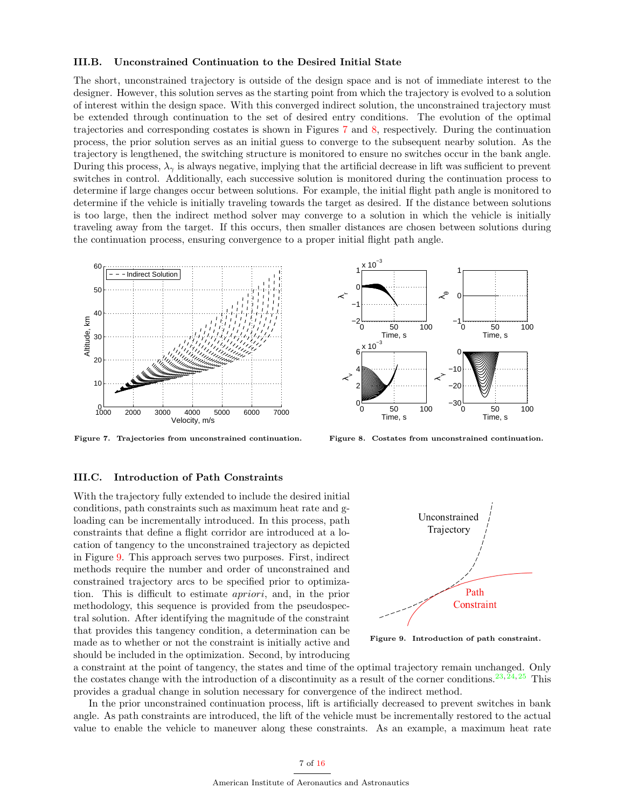#### III.B. Unconstrained Continuation to the Desired Initial State

The short, unconstrained trajectory is outside of the design space and is not of immediate interest to the designer. However, this solution serves as the starting point from which the trajectory is evolved to a solution of interest within the design space. With this converged indirect solution, the unconstrained trajectory must be extended through continuation to the set of desired entry conditions. The evolution of the optimal trajectories and corresponding costates is shown in Figures [7](#page-6-0) and [8,](#page-6-1) respectively. During the continuation process, the prior solution serves as an initial guess to converge to the subsequent nearby solution. As the trajectory is lengthened, the switching structure is monitored to ensure no switches occur in the bank angle. During this process,  $\lambda_{\gamma}$  is always negative, implying that the artificial decrease in lift was sufficient to prevent switches in control. Additionally, each successive solution is monitored during the continuation process to determine if large changes occur between solutions. For example, the initial flight path angle is monitored to determine if the vehicle is initially traveling towards the target as desired. If the distance between solutions is too large, then the indirect method solver may converge to a solution in which the vehicle is initially traveling away from the target. If this occurs, then smaller distances are chosen between solutions during the continuation process, ensuring convergence to a proper initial flight path angle.



<span id="page-6-0"></span>Figure 7. Trajectories from unconstrained continuation.



With the trajectory fully extended to include the desired initial conditions, path constraints such as maximum heat rate and gloading can be incrementally introduced. In this process, path constraints that define a flight corridor are introduced at a location of tangency to the unconstrained trajectory as depicted in Figure [9.](#page-6-2) This approach serves two purposes. First, indirect methods require the number and order of unconstrained and constrained trajectory arcs to be specified prior to optimization. This is difficult to estimate apriori, and, in the prior methodology, this sequence is provided from the pseudospectral solution. After identifying the magnitude of the constraint that provides this tangency condition, a determination can be made as to whether or not the constraint is initially active and should be included in the optimization. Second, by introducing



<span id="page-6-1"></span>Figure 8. Costates from unconstrained continuation.



<span id="page-6-2"></span>Figure 9. Introduction of path constraint.

a constraint at the point of tangency, the states and time of the optimal trajectory remain unchanged. Only the costates change with the introduction of a discontinuity as a result of the corner conditions.<sup>[23,](#page-15-2) [24,](#page-15-3) [25](#page-15-4)</sup> This provides a gradual change in solution necessary for convergence of the indirect method.

In the prior unconstrained continuation process, lift is artificially decreased to prevent switches in bank angle. As path constraints are introduced, the lift of the vehicle must be incrementally restored to the actual value to enable the vehicle to maneuver along these constraints. As an example, a maximum heat rate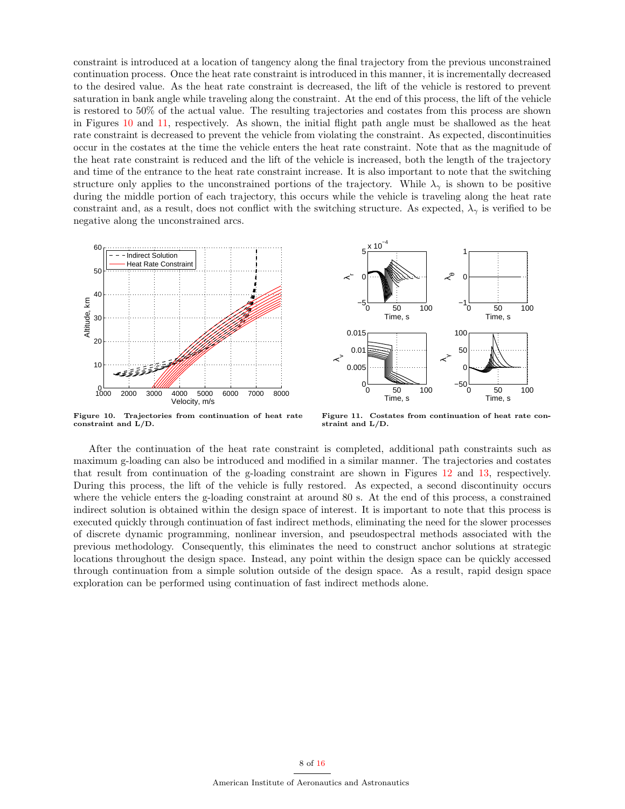constraint is introduced at a location of tangency along the final trajectory from the previous unconstrained continuation process. Once the heat rate constraint is introduced in this manner, it is incrementally decreased to the desired value. As the heat rate constraint is decreased, the lift of the vehicle is restored to prevent saturation in bank angle while traveling along the constraint. At the end of this process, the lift of the vehicle is restored to 50% of the actual value. The resulting trajectories and costates from this process are shown in Figures [10](#page-7-0) and [11,](#page-7-1) respectively. As shown, the initial flight path angle must be shallowed as the heat rate constraint is decreased to prevent the vehicle from violating the constraint. As expected, discontinuities occur in the costates at the time the vehicle enters the heat rate constraint. Note that as the magnitude of the heat rate constraint is reduced and the lift of the vehicle is increased, both the length of the trajectory and time of the entrance to the heat rate constraint increase. It is also important to note that the switching structure only applies to the unconstrained portions of the trajectory. While  $\lambda_{\gamma}$  is shown to be positive during the middle portion of each trajectory, this occurs while the vehicle is traveling along the heat rate constraint and, as a result, does not conflict with the switching structure. As expected,  $\lambda_{\gamma}$  is verified to be negative along the unconstrained arcs.





<span id="page-7-0"></span>Figure 10. Trajectories from continuation of heat rate constraint and L/D.

<span id="page-7-1"></span>Figure 11. Costates from continuation of heat rate constraint and L/D.

After the continuation of the heat rate constraint is completed, additional path constraints such as maximum g-loading can also be introduced and modified in a similar manner. The trajectories and costates that result from continuation of the g-loading constraint are shown in Figures [12](#page-8-0) and [13,](#page-8-1) respectively. During this process, the lift of the vehicle is fully restored. As expected, a second discontinuity occurs where the vehicle enters the g-loading constraint at around 80 s. At the end of this process, a constrained indirect solution is obtained within the design space of interest. It is important to note that this process is executed quickly through continuation of fast indirect methods, eliminating the need for the slower processes of discrete dynamic programming, nonlinear inversion, and pseudospectral methods associated with the previous methodology. Consequently, this eliminates the need to construct anchor solutions at strategic locations throughout the design space. Instead, any point within the design space can be quickly accessed through continuation from a simple solution outside of the design space. As a result, rapid design space exploration can be performed using continuation of fast indirect methods alone.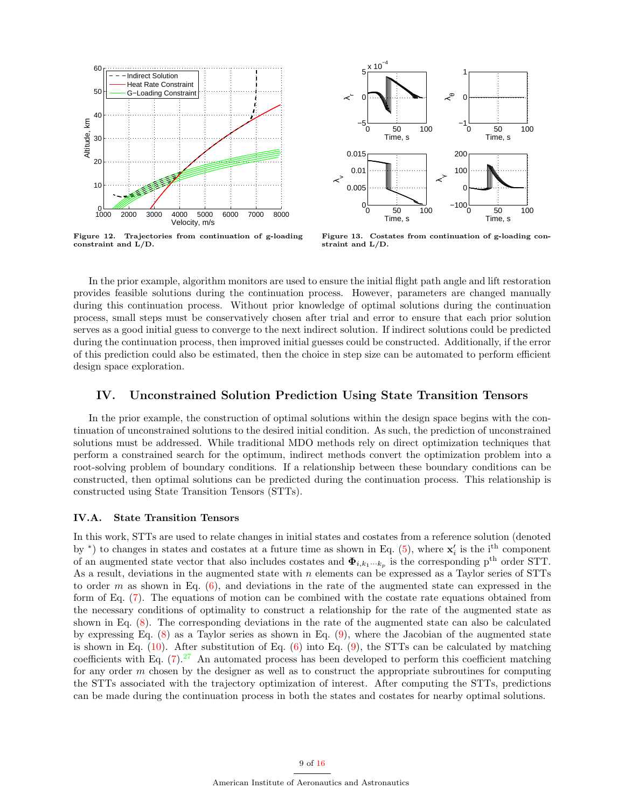

<span id="page-8-0"></span>Figure 12. Trajectories from continuation of g-loading constraint and L/D.



<span id="page-8-1"></span>Figure 13. Costates from continuation of g-loading constraint and L/D.

In the prior example, algorithm monitors are used to ensure the initial flight path angle and lift restoration provides feasible solutions during the continuation process. However, parameters are changed manually during this continuation process. Without prior knowledge of optimal solutions during the continuation process, small steps must be conservatively chosen after trial and error to ensure that each prior solution serves as a good initial guess to converge to the next indirect solution. If indirect solutions could be predicted during the continuation process, then improved initial guesses could be constructed. Additionally, if the error of this prediction could also be estimated, then the choice in step size can be automated to perform efficient design space exploration.

# IV. Unconstrained Solution Prediction Using State Transition Tensors

In the prior example, the construction of optimal solutions within the design space begins with the continuation of unconstrained solutions to the desired initial condition. As such, the prediction of unconstrained solutions must be addressed. While traditional MDO methods rely on direct optimization techniques that perform a constrained search for the optimum, indirect methods convert the optimization problem into a root-solving problem of boundary conditions. If a relationship between these boundary conditions can be constructed, then optimal solutions can be predicted during the continuation process. This relationship is constructed using State Transition Tensors (STTs).

#### IV.A. State Transition Tensors

In this work, STTs are used to relate changes in initial states and costates from a reference solution (denoted by \*) to changes in states and costates at a future time as shown in Eq.  $(5)$ , where  $\mathbf{x}'_i$  is the i<sup>th</sup> component of an augmented state vector that also includes costates and  $\Phi_{i,k_1\cdots k_p}$  is the corresponding p<sup>th</sup> order STT. As a result, deviations in the augmented state with  $n$  elements can be expressed as a Taylor series of STTs to order m as shown in Eq.  $(6)$ , and deviations in the rate of the augmented state can expressed in the form of Eq. [\(7\)](#page-9-2). The equations of motion can be combined with the costate rate equations obtained from the necessary conditions of optimality to construct a relationship for the rate of the augmented state as shown in Eq. [\(8\)](#page-9-3). The corresponding deviations in the rate of the augmented state can also be calculated by expressing Eq. [\(8\)](#page-9-3) as a Taylor series as shown in Eq. [\(9\)](#page-9-4), where the Jacobian of the augmented state is shown in Eq.  $(10)$ . After substitution of Eq.  $(6)$  into Eq.  $(9)$ , the STTs can be calculated by matching coefficients with Eq.  $(7).^{27}$  $(7).^{27}$  $(7).^{27}$  $(7).^{27}$  An automated process has been developed to perform this coefficient matching for any order  $m$  chosen by the designer as well as to construct the appropriate subroutines for computing the STTs associated with the trajectory optimization of interest. After computing the STTs, predictions can be made during the continuation process in both the states and costates for nearby optimal solutions.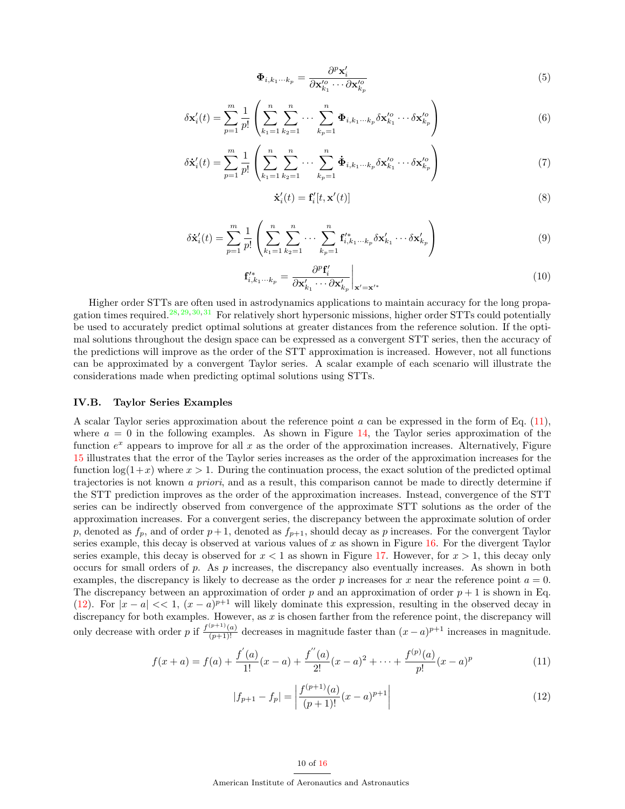$$
\mathbf{\Phi}_{i,k_1\cdots k_p} = \frac{\partial^p \mathbf{x}'_i}{\partial \mathbf{x}'^o_{k_1} \cdots \partial \mathbf{x}'^o_{k_p}}
$$
(5)

<span id="page-9-1"></span><span id="page-9-0"></span>
$$
\delta \mathbf{x}'_i(t) = \sum_{p=1}^m \frac{1}{p!} \left( \sum_{k_1=1}^n \sum_{k_2=1}^n \cdots \sum_{k_p=1}^n \mathbf{\Phi}_{i,k_1\cdots k_p} \delta \mathbf{x}'^o_{k_1} \cdots \delta \mathbf{x}'^o_{k_p} \right) \tag{6}
$$

<span id="page-9-2"></span>
$$
\delta \dot{\mathbf{x}}'_{i}(t) = \sum_{p=1}^{m} \frac{1}{p!} \left( \sum_{k_{1}=1}^{n} \sum_{k_{2}=1}^{n} \cdots \sum_{k_{p}=1}^{n} \dot{\Phi}_{i,k_{1}\cdots k_{p}} \delta \mathbf{x}'^{o}_{k_{1}} \cdots \delta \mathbf{x}'^{o}_{k_{p}} \right)
$$
(7)

$$
\dot{\mathbf{x}}_i'(t) = \mathbf{f}_i'[t, \mathbf{x}'(t)] \tag{8}
$$

$$
\delta \dot{\mathbf{x}}_i'(t) = \sum_{p=1}^m \frac{1}{p!} \left( \sum_{k_1=1}^n \sum_{k_2=1}^n \cdots \sum_{k_p=1}^n \mathbf{f}_{i,k_1\cdots k_p}^{t*} \delta \mathbf{x}_{k_1}' \cdots \delta \mathbf{x}_{k_p}' \right)
$$
(9)

$$
\mathbf{f}'^*_{i,k_1\cdots k_p} = \frac{\partial^p \mathbf{f}'_i}{\partial \mathbf{x}'_{k_1} \cdots \partial \mathbf{x}'_{k_p}} \bigg|_{\mathbf{x}' = \mathbf{x}'^*}
$$
(10)

<span id="page-9-5"></span><span id="page-9-4"></span><span id="page-9-3"></span>Higher order STTs are often used in astrodynamics applications to maintain accuracy for the long propa-gation times required.<sup>[28,](#page-15-7) [29,](#page-15-8) [30,](#page-15-9) [31](#page-15-10)</sup> For relatively short hypersonic missions, higher order STTs could potentially be used to accurately predict optimal solutions at greater distances from the reference solution. If the optimal solutions throughout the design space can be expressed as a convergent STT series, then the accuracy of the predictions will improve as the order of the STT approximation is increased. However, not all functions can be approximated by a convergent Taylor series. A scalar example of each scenario will illustrate the considerations made when predicting optimal solutions using STTs.

#### IV.B. Taylor Series Examples

A scalar Taylor series approximation about the reference point  $a$  can be expressed in the form of Eq. [\(11\)](#page-9-6), where  $a = 0$  in the following examples. As shown in Figure [14,](#page-10-0) the Taylor series approximation of the function  $e^x$  appears to improve for all x as the order of the approximation increases. Alternatively, Figure [15](#page-10-1) illustrates that the error of the Taylor series increases as the order of the approximation increases for the function  $\log(1+x)$  where  $x > 1$ . During the continuation process, the exact solution of the predicted optimal trajectories is not known a priori, and as a result, this comparison cannot be made to directly determine if the STT prediction improves as the order of the approximation increases. Instead, convergence of the STT series can be indirectly observed from convergence of the approximate STT solutions as the order of the approximation increases. For a convergent series, the discrepancy between the approximate solution of order p, denoted as  $f_p$ , and of order  $p+1$ , denoted as  $f_{p+1}$ , should decay as p increases. For the convergent Taylor series example, this decay is observed at various values of  $x$  as shown in Figure [16.](#page-10-2) For the divergent Taylor series example, this decay is observed for  $x < 1$  as shown in Figure [17.](#page-10-3) However, for  $x > 1$ , this decay only occurs for small orders of  $p$ . As  $p$  increases, the discrepancy also eventually increases. As shown in both examples, the discrepancy is likely to decrease as the order p increases for x near the reference point  $a = 0$ . The discrepancy between an approximation of order p and an approximation of order  $p + 1$  is shown in Eq. [\(12\)](#page-9-7). For  $|x-a| \ll 1$ ,  $(x-a)^{p+1}$  will likely dominate this expression, resulting in the observed decay in discrepancy for both examples. However, as  $x$  is chosen farther from the reference point, the discrepancy will only decrease with order p if  $\frac{f^{(p+1)}(a)}{(p+1)!}$  decreases in magnitude faster than  $(x-a)^{p+1}$  increases in magnitude.

<span id="page-9-7"></span><span id="page-9-6"></span>
$$
f(x+a) = f(a) + \frac{f'(a)}{1!}(x-a) + \frac{f''(a)}{2!}(x-a)^2 + \dots + \frac{f^{(p)}(a)}{p!}(x-a)^p
$$
 (11)

$$
|f_{p+1} - f_p| = \left| \frac{f^{(p+1)}(a)}{(p+1)!} (x-a)^{p+1} \right| \tag{12}
$$

#### 10 of [16](#page-15-0)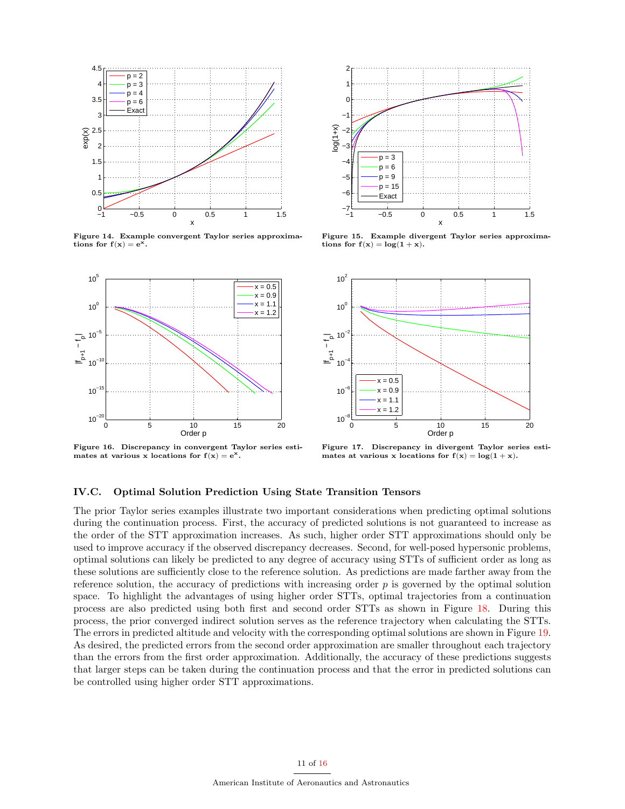

<span id="page-10-0"></span>Figure 14. Example convergent Taylor series approximations for  $f(x) = e^{x^2}$ .



<span id="page-10-2"></span>Figure 16. Discrepancy in convergent Taylor series estimates at various x locations for  $f(x) = e^x$ .



<span id="page-10-1"></span>Figure 15. Example divergent Taylor series approximations for  $f(x) = log(1 + x)$ .



<span id="page-10-3"></span>Figure 17. Discrepancy in divergent Taylor series estimates at various x locations for  $f(x) = log(1 + x)$ .

## IV.C. Optimal Solution Prediction Using State Transition Tensors

The prior Taylor series examples illustrate two important considerations when predicting optimal solutions during the continuation process. First, the accuracy of predicted solutions is not guaranteed to increase as the order of the STT approximation increases. As such, higher order STT approximations should only be used to improve accuracy if the observed discrepancy decreases. Second, for well-posed hypersonic problems, optimal solutions can likely be predicted to any degree of accuracy using STTs of sufficient order as long as these solutions are sufficiently close to the reference solution. As predictions are made farther away from the reference solution, the accuracy of predictions with increasing order  $p$  is governed by the optimal solution space. To highlight the advantages of using higher order STTs, optimal trajectories from a continuation process are also predicted using both first and second order STTs as shown in Figure [18.](#page-11-0) During this process, the prior converged indirect solution serves as the reference trajectory when calculating the STTs. The errors in predicted altitude and velocity with the corresponding optimal solutions are shown in Figure [19.](#page-11-1) As desired, the predicted errors from the second order approximation are smaller throughout each trajectory than the errors from the first order approximation. Additionally, the accuracy of these predictions suggests that larger steps can be taken during the continuation process and that the error in predicted solutions can be controlled using higher order STT approximations.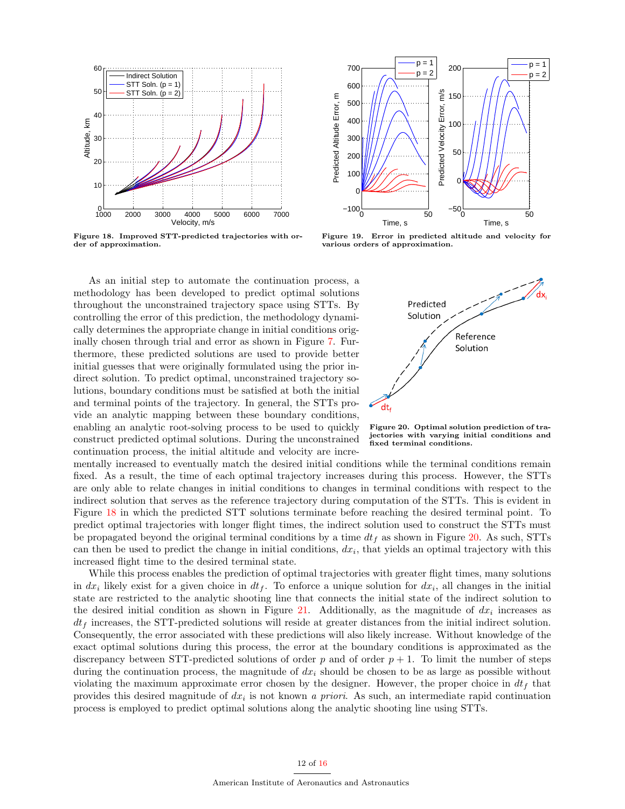

<span id="page-11-0"></span>Figure 18. Improved STT-predicted trajectories with order of approximation.

As an initial step to automate the continuation process, a methodology has been developed to predict optimal solutions throughout the unconstrained trajectory space using STTs. By controlling the error of this prediction, the methodology dynamically determines the appropriate change in initial conditions originally chosen through trial and error as shown in Figure [7.](#page-6-0) Furthermore, these predicted solutions are used to provide better initial guesses that were originally formulated using the prior indirect solution. To predict optimal, unconstrained trajectory solutions, boundary conditions must be satisfied at both the initial and terminal points of the trajectory. In general, the STTs provide an analytic mapping between these boundary conditions, enabling an analytic root-solving process to be used to quickly construct predicted optimal solutions. During the unconstrained continuation process, the initial altitude and velocity are incre-



Figure 19. Error in predicted altitude and velocity for various orders of approximation.

<span id="page-11-1"></span>

<span id="page-11-2"></span>Figure 20. Optimal solution prediction of trajectories with varying initial conditions and fixed terminal conditions.

mentally increased to eventually match the desired initial conditions while the terminal conditions remain fixed. As a result, the time of each optimal trajectory increases during this process. However, the STTs are only able to relate changes in initial conditions to changes in terminal conditions with respect to the indirect solution that serves as the reference trajectory during computation of the STTs. This is evident in Figure [18](#page-11-0) in which the predicted STT solutions terminate before reaching the desired terminal point. To predict optimal trajectories with longer flight times, the indirect solution used to construct the STTs must be propagated beyond the original terminal conditions by a time  $dt_f$  as shown in Figure [20.](#page-11-2) As such, STTs can then be used to predict the change in initial conditions,  $dx_i$ , that yields an optimal trajectory with this increased flight time to the desired terminal state.

While this process enables the prediction of optimal trajectories with greater flight times, many solutions in  $dx_i$  likely exist for a given choice in  $dt_f$ . To enforce a unique solution for  $dx_i$ , all changes in the initial state are restricted to the analytic shooting line that connects the initial state of the indirect solution to the desired initial condition as shown in Figure [21.](#page-12-0) Additionally, as the magnitude of  $dx_i$  increases as  $dt_f$  increases, the STT-predicted solutions will reside at greater distances from the initial indirect solution. Consequently, the error associated with these predictions will also likely increase. Without knowledge of the exact optimal solutions during this process, the error at the boundary conditions is approximated as the discrepancy between STT-predicted solutions of order  $p$  and of order  $p + 1$ . To limit the number of steps during the continuation process, the magnitude of  $dx_i$  should be chosen to be as large as possible without violating the maximum approximate error chosen by the designer. However, the proper choice in  $dt_f$  that provides this desired magnitude of  $dx_i$  is not known a priori. As such, an intermediate rapid continuation process is employed to predict optimal solutions along the analytic shooting line using STTs.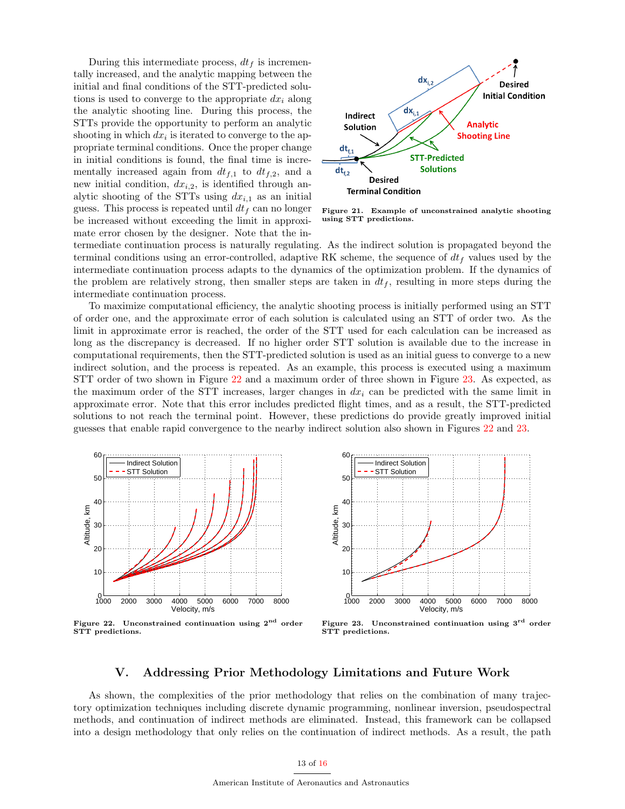During this intermediate process,  $dt_f$  is incrementally increased, and the analytic mapping between the initial and final conditions of the STT-predicted solutions is used to converge to the appropriate  $dx_i$  along the analytic shooting line. During this process, the STTs provide the opportunity to perform an analytic shooting in which  $dx_i$  is iterated to converge to the appropriate terminal conditions. Once the proper change in initial conditions is found, the final time is incrementally increased again from  $dt_{f,1}$  to  $dt_{f,2}$ , and a new initial condition,  $dx_{i,2}$ , is identified through analytic shooting of the STTs using  $dx_{i,1}$  as an initial guess. This process is repeated until  $dt_f$  can no longer be increased without exceeding the limit in approximate error chosen by the designer. Note that the in-



<span id="page-12-0"></span>Figure 21. Example of unconstrained analytic shooting using STT predictions.

termediate continuation process is naturally regulating. As the indirect solution is propagated beyond the terminal conditions using an error-controlled, adaptive RK scheme, the sequence of  $dt_f$  values used by the intermediate continuation process adapts to the dynamics of the optimization problem. If the dynamics of the problem are relatively strong, then smaller steps are taken in  $dt_f$ , resulting in more steps during the intermediate continuation process.

To maximize computational efficiency, the analytic shooting process is initially performed using an STT of order one, and the approximate error of each solution is calculated using an STT of order two. As the limit in approximate error is reached, the order of the STT used for each calculation can be increased as long as the discrepancy is decreased. If no higher order STT solution is available due to the increase in computational requirements, then the STT-predicted solution is used as an initial guess to converge to a new indirect solution, and the process is repeated. As an example, this process is executed using a maximum STT order of two shown in Figure [22](#page-12-1) and a maximum order of three shown in Figure [23.](#page-12-2) As expected, as the maximum order of the STT increases, larger changes in  $dx<sub>i</sub>$  can be predicted with the same limit in approximate error. Note that this error includes predicted flight times, and as a result, the STT-predicted solutions to not reach the terminal point. However, these predictions do provide greatly improved initial guesses that enable rapid convergence to the nearby indirect solution also shown in Figures [22](#page-12-1) and [23.](#page-12-2)



1000 2000 3000 4000 5000 6000 7000 8000  $1000$ 10 20 30 40 50 60 Velocity, m/s Altitude, km Indirect Solution STT Solution

Figure 22. Unconstrained continuation using  $2<sup>nd</sup>$  order STT predictions.

<span id="page-12-2"></span>Figure 23. Unconstrained continuation using  $3^{rd}$  order STT predictions.

## <span id="page-12-1"></span>V. Addressing Prior Methodology Limitations and Future Work

As shown, the complexities of the prior methodology that relies on the combination of many trajectory optimization techniques including discrete dynamic programming, nonlinear inversion, pseudospectral methods, and continuation of indirect methods are eliminated. Instead, this framework can be collapsed into a design methodology that only relies on the continuation of indirect methods. As a result, the path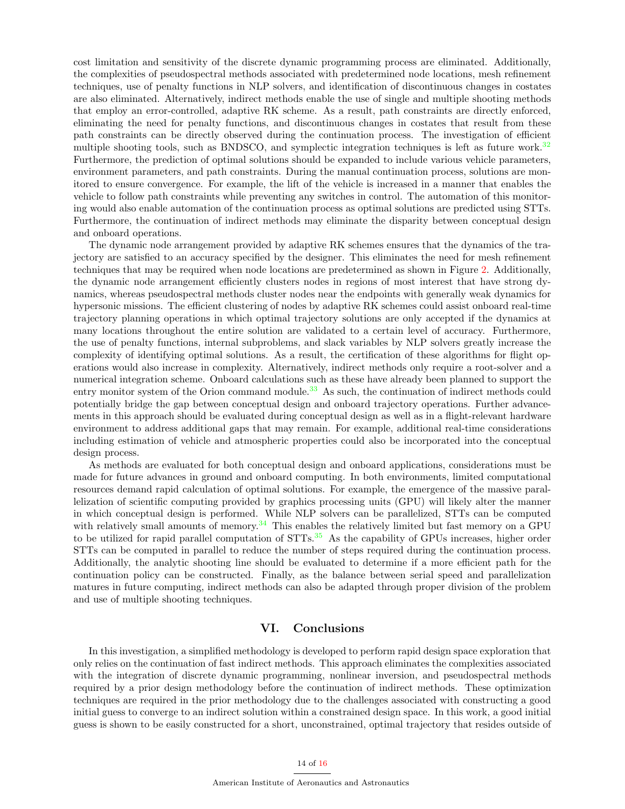cost limitation and sensitivity of the discrete dynamic programming process are eliminated. Additionally, the complexities of pseudospectral methods associated with predetermined node locations, mesh refinement techniques, use of penalty functions in NLP solvers, and identification of discontinuous changes in costates are also eliminated. Alternatively, indirect methods enable the use of single and multiple shooting methods that employ an error-controlled, adaptive RK scheme. As a result, path constraints are directly enforced, eliminating the need for penalty functions, and discontinuous changes in costates that result from these path constraints can be directly observed during the continuation process. The investigation of efficient multiple shooting tools, such as BNDSCO, and symplectic integration techniques is left as future work.<sup>[32](#page-15-11)</sup> Furthermore, the prediction of optimal solutions should be expanded to include various vehicle parameters, environment parameters, and path constraints. During the manual continuation process, solutions are monitored to ensure convergence. For example, the lift of the vehicle is increased in a manner that enables the vehicle to follow path constraints while preventing any switches in control. The automation of this monitoring would also enable automation of the continuation process as optimal solutions are predicted using STTs. Furthermore, the continuation of indirect methods may eliminate the disparity between conceptual design and onboard operations.

The dynamic node arrangement provided by adaptive RK schemes ensures that the dynamics of the trajectory are satisfied to an accuracy specified by the designer. This eliminates the need for mesh refinement techniques that may be required when node locations are predetermined as shown in Figure [2.](#page-3-0) Additionally, the dynamic node arrangement efficiently clusters nodes in regions of most interest that have strong dynamics, whereas pseudospectral methods cluster nodes near the endpoints with generally weak dynamics for hypersonic missions. The efficient clustering of nodes by adaptive RK schemes could assist onboard real-time trajectory planning operations in which optimal trajectory solutions are only accepted if the dynamics at many locations throughout the entire solution are validated to a certain level of accuracy. Furthermore, the use of penalty functions, internal subproblems, and slack variables by NLP solvers greatly increase the complexity of identifying optimal solutions. As a result, the certification of these algorithms for flight operations would also increase in complexity. Alternatively, indirect methods only require a root-solver and a numerical integration scheme. Onboard calculations such as these have already been planned to support the entry monitor system of the Orion command module.<sup>[33](#page-15-12)</sup> As such, the continuation of indirect methods could potentially bridge the gap between conceptual design and onboard trajectory operations. Further advancements in this approach should be evaluated during conceptual design as well as in a flight-relevant hardware environment to address additional gaps that may remain. For example, additional real-time considerations including estimation of vehicle and atmospheric properties could also be incorporated into the conceptual design process.

As methods are evaluated for both conceptual design and onboard applications, considerations must be made for future advances in ground and onboard computing. In both environments, limited computational resources demand rapid calculation of optimal solutions. For example, the emergence of the massive parallelization of scientific computing provided by graphics processing units (GPU) will likely alter the manner in which conceptual design is performed. While NLP solvers can be parallelized, STTs can be computed with relatively small amounts of memory.<sup>[34](#page-15-13)</sup> This enables the relatively limited but fast memory on a GPU to be utilized for rapid parallel computation of STTs.<sup>[35](#page-15-14)</sup> As the capability of GPUs increases, higher order STTs can be computed in parallel to reduce the number of steps required during the continuation process. Additionally, the analytic shooting line should be evaluated to determine if a more efficient path for the continuation policy can be constructed. Finally, as the balance between serial speed and parallelization matures in future computing, indirect methods can also be adapted through proper division of the problem and use of multiple shooting techniques.

## VI. Conclusions

In this investigation, a simplified methodology is developed to perform rapid design space exploration that only relies on the continuation of fast indirect methods. This approach eliminates the complexities associated with the integration of discrete dynamic programming, nonlinear inversion, and pseudospectral methods required by a prior design methodology before the continuation of indirect methods. These optimization techniques are required in the prior methodology due to the challenges associated with constructing a good initial guess to converge to an indirect solution within a constrained design space. In this work, a good initial guess is shown to be easily constructed for a short, unconstrained, optimal trajectory that resides outside of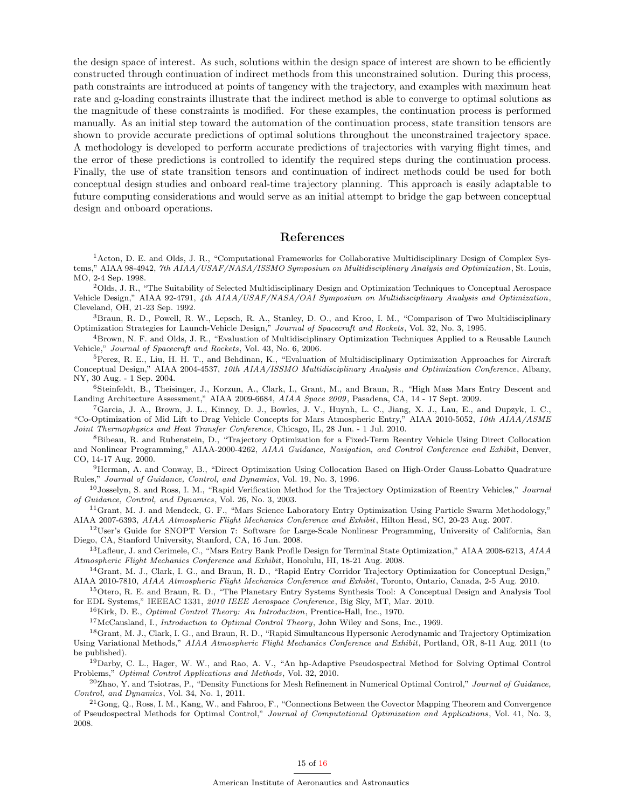the design space of interest. As such, solutions within the design space of interest are shown to be efficiently constructed through continuation of indirect methods from this unconstrained solution. During this process, path constraints are introduced at points of tangency with the trajectory, and examples with maximum heat rate and g-loading constraints illustrate that the indirect method is able to converge to optimal solutions as the magnitude of these constraints is modified. For these examples, the continuation process is performed manually. As an initial step toward the automation of the continuation process, state transition tensors are shown to provide accurate predictions of optimal solutions throughout the unconstrained trajectory space. A methodology is developed to perform accurate predictions of trajectories with varying flight times, and the error of these predictions is controlled to identify the required steps during the continuation process. Finally, the use of state transition tensors and continuation of indirect methods could be used for both conceptual design studies and onboard real-time trajectory planning. This approach is easily adaptable to future computing considerations and would serve as an initial attempt to bridge the gap between conceptual design and onboard operations.

#### References

<span id="page-14-0"></span><sup>1</sup>Acton, D. E. and Olds, J. R., "Computational Frameworks for Collaborative Multidisciplinary Design of Complex Systems," AIAA 98-4942, 7th AIAA/USAF/NASA/ISSMO Symposium on Multidisciplinary Analysis and Optimization, St. Louis, MO, 2-4 Sep. 1998.

<span id="page-14-1"></span><sup>2</sup>Olds, J. R., "The Suitability of Selected Multidisciplinary Design and Optimization Techniques to Conceptual Aerospace Vehicle Design," AIAA 92-4791, 4th AIAA/USAF/NASA/OAI Symposium on Multidisciplinary Analysis and Optimization, Cleveland, OH, 21-23 Sep. 1992.

<span id="page-14-2"></span><sup>3</sup> Braun, R. D., Powell, R. W., Lepsch, R. A., Stanley, D. O., and Kroo, I. M., "Comparison of Two Multidisciplinary Optimization Strategies for Launch-Vehicle Design," Journal of Spacecraft and Rockets, Vol. 32, No. 3, 1995.

<span id="page-14-3"></span><sup>4</sup>Brown, N. F. and Olds, J. R., "Evaluation of Multidisciplinary Optimization Techniques Applied to a Reusable Launch Vehicle," Journal of Spacecraft and Rockets, Vol. 43, No. 6, 2006.

<span id="page-14-4"></span> ${}^{5}$ Perez, R. E., Liu, H. H. T., and Behdinan, K., "Evaluation of Multidisciplinary Optimization Approaches for Aircraft Conceptual Design," AIAA 2004-4537, 10th AIAA/ISSMO Multidisciplinary Analysis and Optimization Conference, Albany, NY, 30 Aug. - 1 Sep. 2004.

<span id="page-14-5"></span><sup>6</sup>Steinfeldt, B., Theisinger, J., Korzun, A., Clark, I., Grant, M., and Braun, R., "High Mass Mars Entry Descent and Landing Architecture Assessment," AIAA 2009-6684, AIAA Space 2009 , Pasadena, CA, 14 - 17 Sept. 2009.

<span id="page-14-6"></span><sup>7</sup>Garcia, J. A., Brown, J. L., Kinney, D. J., Bowles, J. V., Huynh, L. C., Jiang, X. J., Lau, E., and Dupzyk, I. C., "Co-Optimization of Mid Lift to Drag Vehicle Concepts for Mars Atmospheric Entry," AIAA 2010-5052, 10th AIAA/ASME Joint Thermophysics and Heat Transfer Conference, Chicago, IL, 28 Jun. - 1 Jul. 2010.

<span id="page-14-7"></span><sup>8</sup>Bibeau, R. and Rubenstein, D., "Trajectory Optimization for a Fixed-Term Reentry Vehicle Using Direct Collocation and Nonlinear Programming," AIAA-2000-4262, AIAA Guidance, Navigation, and Control Conference and Exhibit, Denver, CO, 14-17 Aug. 2000.

<span id="page-14-8"></span><sup>9</sup>Herman, A. and Conway, B., "Direct Optimization Using Collocation Based on High-Order Gauss-Lobatto Quadrature Rules," Journal of Guidance, Control, and Dynamics, Vol. 19, No. 3, 1996.

<span id="page-14-9"></span><sup>10</sup>Josselyn, S. and Ross, I. M., "Rapid Verification Method for the Trajectory Optimization of Reentry Vehicles," Journal of Guidance, Control, and Dynamics, Vol. 26, No. 3, 2003.

<span id="page-14-10"></span><sup>11</sup>Grant, M. J. and Mendeck, G. F., "Mars Science Laboratory Entry Optimization Using Particle Swarm Methodology," AIAA 2007-6393, AIAA Atmospheric Flight Mechanics Conference and Exhibit, Hilton Head, SC, 20-23 Aug. 2007.

<span id="page-14-11"></span> $12$ User's Guide for SNOPT Version 7: Software for Large-Scale Nonlinear Programming, University of California, San Diego, CA, Stanford University, Stanford, CA, 16 Jun. 2008.

<span id="page-14-12"></span><sup>13</sup>Lafleur, J. and Cerimele, C., "Mars Entry Bank Profile Design for Terminal State Optimization," AIAA 2008-6213, AIAA Atmospheric Flight Mechanics Conference and Exhibit, Honolulu, HI, 18-21 Aug. 2008.

<span id="page-14-13"></span><sup>14</sup>Grant, M. J., Clark, I. G., and Braun, R. D., "Rapid Entry Corridor Trajectory Optimization for Conceptual Design," AIAA 2010-7810, AIAA Atmospheric Flight Mechanics Conference and Exhibit, Toronto, Ontario, Canada, 2-5 Aug. 2010.

<span id="page-14-14"></span><sup>15</sup>Otero, R. E. and Braun, R. D., "The Planetary Entry Systems Synthesis Tool: A Conceptual Design and Analysis Tool for EDL Systems," IEEEAC 1331, 2010 IEEE Aerospace Conference, Big Sky, MT, Mar. 2010.

<span id="page-14-16"></span><span id="page-14-15"></span><sup>16</sup>Kirk, D. E., Optimal Control Theory: An Introduction, Prentice-Hall, Inc., 1970.

<sup>17</sup>McCausland, I., *Introduction to Optimal Control Theory*, John Wiley and Sons, Inc., 1969.

<span id="page-14-17"></span><sup>18</sup>Grant, M. J., Clark, I. G., and Braun, R. D., "Rapid Simultaneous Hypersonic Aerodynamic and Trajectory Optimization Using Variational Methods," AIAA Atmospheric Flight Mechanics Conference and Exhibit, Portland, OR, 8-11 Aug. 2011 (to be published).

<span id="page-14-18"></span><sup>19</sup>Darby, C. L., Hager, W. W., and Rao, A. V., "An hp-Adaptive Pseudospectral Method for Solving Optimal Control Problems," Optimal Control Applications and Methods, Vol. 32, 2010.

<span id="page-14-19"></span><sup>20</sup>Zhao, Y. and Tsiotras, P., "Density Functions for Mesh Refinement in Numerical Optimal Control," Journal of Guidance, Control, and Dynamics, Vol. 34, No. 1, 2011.

<span id="page-14-20"></span> $^{21}$ Gong, Q., Ross, I. M., Kang, W., and Fahroo, F., "Connections Between the Covector Mapping Theorem and Convergence of Pseudospectral Methods for Optimal Control," Journal of Computational Optimization and Applications, Vol. 41, No. 3, 2008.